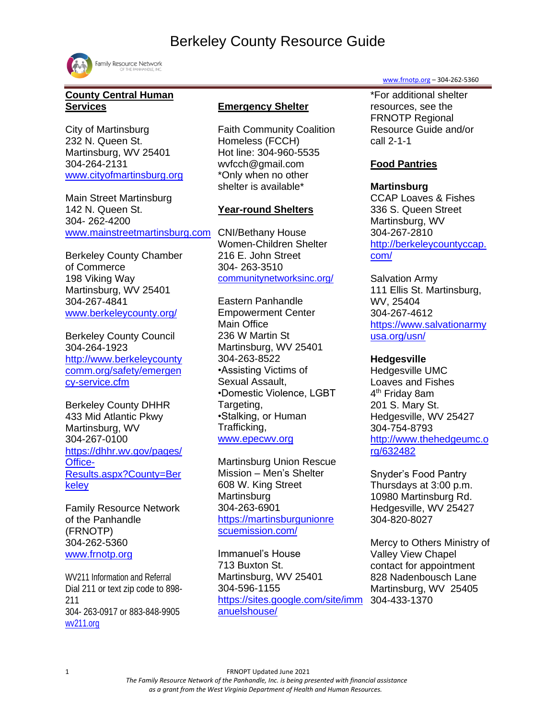

# **County Central Human Services**

City of Martinsburg 232 N. Queen St. Martinsburg, WV 25401 304-264-2131 [www.cityofmartinsburg.org](http://www.cityofmartinsburg.org/)

Main Street Martinsburg 142 N. Queen St. 304- 262-4200 [www.mainstreetmartinsburg.com](http://www.mainstreetmartinsburg.com/)

Berkeley County Chamber of Commerce 198 Viking Way Martinsburg, WV 25401 304-267-4841 [www.berkeleycounty.org/](http://www.berkeleycounty.org/)

Berkeley County Council 304-264-1923 [http://www.berkeleycounty](http://www.berkeleycountycomm.org/safety/emergency-service.cfm) [comm.org/safety/emergen](http://www.berkeleycountycomm.org/safety/emergency-service.cfm) [cy-service.cfm](http://www.berkeleycountycomm.org/safety/emergency-service.cfm)

Berkeley County DHHR 433 Mid Atlantic Pkwy Martinsburg, WV 304-267-0100 [https://dhhr.wv.gov/pages/](https://dhhr.wv.gov/pages/Office-Results.aspx?County=Berkeley) [Office-](https://dhhr.wv.gov/pages/Office-Results.aspx?County=Berkeley)[Results.aspx?County=Ber](https://dhhr.wv.gov/pages/Office-Results.aspx?County=Berkeley) [keley](https://dhhr.wv.gov/pages/Office-Results.aspx?County=Berkeley)

Family Resource Network of the Panhandle (FRNOTP) 304-262-5360 [www.frnotp.org](http://www.frnotp.org/)

WV211 Information and Referral Dial 211 or text zip code to 898- 211 304- 263-0917 or 883-848-9905 [wv211.org](file:///C:/Users/crice/Pictures/Desktop/2021%20Resource%20Guide%20edits/Berkeley%20Co.%20%20Resource%20Guide.docx)

### **Emergency Shelter**

Faith Community Coalition Homeless (FCCH) Hot line: 304-960-5535 wvfcch@gmail.com \*Only when no other shelter is available\*

#### **Year-round Shelters**

CNI/Bethany House Women-Children Shelter 216 E. John Street 304- 263-3510 [communitynetworksinc.org/](https://communitynetworksinc.org/)

Eastern Panhandle Empowerment Center Main Office 236 W Martin St Martinsburg, WV 25401 304-263-8522 •Assisting Victims of Sexual Assault, •Domestic Violence, LGBT Targeting, •Stalking, or Human Trafficking, [www.epecwv.org](http://www.epecwv.org/)

Martinsburg Union Rescue Mission – Men's Shelter 608 W. King Street Martinsburg 304-263-6901 [https://martinsburgunionre](https://martinsburgunionrescuemission.com/) [scuemission.com/](https://martinsburgunionrescuemission.com/)

Immanuel's House 713 Buxton St. Martinsburg, WV 25401 304-596-1155 [https://sites.google.com/site/imm](https://sites.google.com/site/immanuelshouse/) [anuelshouse/](https://sites.google.com/site/immanuelshouse/)

[www.frnotp.org](http://www.frnotp.org/) – 304-262-5360

\*For additional shelter resources, see the FRNOTP Regional Resource Guide and/or call 2-1-1

# **Food Pantries**

#### **Martinsburg**

CCAP Loaves & Fishes 336 S. Queen Street Martinsburg, WV 304-267-2810 [http://berkeleycountyccap.](http://berkeleycountyccap.com/) [com/](http://berkeleycountyccap.com/)

Salvation Army 111 Ellis St. Martinsburg, WV, 25404 304-267-4612 [https://www.salvationarmy](https://www.salvationarmyusa.org/usn/) [usa.org/usn/](https://www.salvationarmyusa.org/usn/)

#### **Hedgesville**

Hedgesville UMC Loaves and Fishes 4<sup>th</sup> Friday 8am 201 S. Mary St. Hedgesville, WV 25427 304-754-8793 [http://www.thehedgeumc.o](http://www.thehedgeumc.org/632482) [rg/632482](http://www.thehedgeumc.org/632482)

Snyder's Food Pantry Thursdays at 3:00 p.m. 10980 Martinsburg Rd. Hedgesville, WV 25427 304-820-8027

Mercy to Others Ministry of Valley View Chapel contact for appointment 828 Nadenbousch Lane Martinsburg, WV 25405 304-433-1370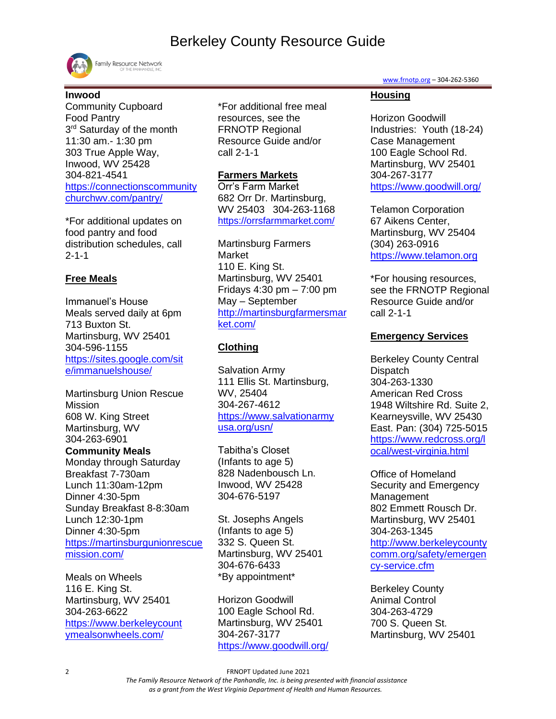

Family Resource Network

# **Inwood**

Community Cupboard Food Pantry 3<sup>rd</sup> Saturday of the month 11:30 am.- 1:30 pm 303 True Apple Way, Inwood, WV 25428 304-821-4541 [https://connectionscommunity](https://connectionscommunitychurchwv.com/pantry/) [churchwv.com/pantry/](https://connectionscommunitychurchwv.com/pantry/)

\*For additional updates on food pantry and food distribution schedules, call 2-1-1

### **Free Meals**

Immanuel's House Meals served daily at 6pm 713 Buxton St. Martinsburg, WV 25401 304-596-1155 [https://sites.google.com/sit](https://sites.google.com/site/immanuelshouse/) [e/immanuelshouse/](https://sites.google.com/site/immanuelshouse/)

Martinsburg Union Rescue Mission 608 W. King Street Martinsburg, WV 304-263-6901

#### **Community Meals**

Monday through Saturday Breakfast 7-730am Lunch 11:30am-12pm Dinner 4:30-5pm Sunday Breakfast 8-8:30am Lunch 12:30-1pm Dinner 4:30-5pm [https://martinsburgunionrescue](https://martinsburgunionrescuemission.com/) [mission.com/](https://martinsburgunionrescuemission.com/)

Meals on Wheels 116 E. King St. Martinsburg, WV 25401 304-263-6622 [https://www.berkeleycount](https://www.berkeleycountymealsonwheels.com/) [ymealsonwheels.com/](https://www.berkeleycountymealsonwheels.com/)

\*For additional free meal resources, see the FRNOTP Regional Resource Guide and/or call 2-1-1

### **Farmers Markets**

Orr's Farm Market 682 Orr Dr. Martinsburg, WV 25403 304-263-1168 <https://orrsfarmmarket.com/>

Martinsburg Farmers Market 110 E. King St. Martinsburg, WV 25401 Fridays 4:30 pm – 7:00 pm May – September [http://martinsburgfarmersmar](http://martinsburgfarmersmarket.com/) [ket.com/](http://martinsburgfarmersmarket.com/)

# **Clothing**

Salvation Army 111 Ellis St. Martinsburg, WV, 25404 304-267-4612 [https://www.salvationarmy](https://www.salvationarmyusa.org/usn/) [usa.org/usn/](https://www.salvationarmyusa.org/usn/)

Tabitha's Closet (Infants to age 5) 828 Nadenbousch Ln. Inwood, WV 25428 304-676-5197

St. Josephs Angels (Infants to age 5) 332 S. Queen St. Martinsburg, WV 25401 304-676-6433 \*By appointment\*

Horizon Goodwill 100 Eagle School Rd. Martinsburg, WV 25401 304-267-3177 <https://www.goodwill.org/> [www.frnotp.org](http://www.frnotp.org/) – 304-262-5360

# **Housing**

Horizon Goodwill Industries: Youth (18-24) Case Management 100 Eagle School Rd. Martinsburg, WV 25401 304-267-3177 <https://www.goodwill.org/>

Telamon Corporation 67 Aikens Center, Martinsburg, WV 25404 (304) 263-0916 [https://www.telamon.org](https://www.telamon.org/)

\*For housing resources, see the FRNOTP Regional Resource Guide and/or call 2-1-1

# **Emergency Services**

Berkeley County Central **Dispatch** 304-263-1330 American Red Cross 1948 Wiltshire Rd. Suite 2, Kearneysville, WV 25430 East. Pan: (304) 725-5015 [https://www.redcross.org/l](https://www.redcross.org/local/west-virginia.html) [ocal/west-virginia.html](https://www.redcross.org/local/west-virginia.html)

Office of Homeland Security and Emergency Management 802 Emmett Rousch Dr. Martinsburg, WV 25401 304-263-1345 [http://www.berkeleycounty](http://www.berkeleycountycomm.org/safety/emergency-service.cfm) [comm.org/safety/emergen](http://www.berkeleycountycomm.org/safety/emergency-service.cfm) [cy-service.cfm](http://www.berkeleycountycomm.org/safety/emergency-service.cfm)

Berkeley County Animal Control 304-263-4729 700 S. Queen St. Martinsburg, WV 25401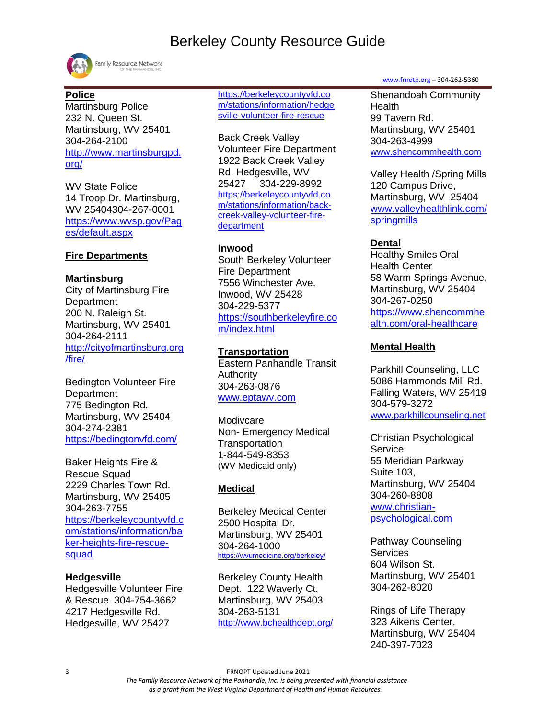

Family Resource Network

### **Police**

Martinsburg Police 232 N. Queen St. Martinsburg, WV 25401 304-264-2100 [http://www.martinsburgpd.](http://www.martinsburgpd.org/) [org/](http://www.martinsburgpd.org/)

WV State Police 14 Troop Dr. Martinsburg, WV 25404304-267-0001 [https://www.wvsp.gov/Pag](https://www.wvsp.gov/Pages/default.aspx) [es/default.aspx](https://www.wvsp.gov/Pages/default.aspx)

### **Fire Departments**

#### **Martinsburg**

City of Martinsburg Fire **Department** 200 N. Raleigh St. Martinsburg, WV 25401 304-264-2111 [http://cityofmartinsburg.org](http://cityofmartinsburg.org/fire/) [/fire/](http://cityofmartinsburg.org/fire/)

Bedington Volunteer Fire **Department** 775 Bedington Rd. Martinsburg, WV 25404 304-274-2381 <https://bedingtonvfd.com/>

Baker Heights Fire & Rescue Squad 2229 Charles Town Rd. Martinsburg, WV 25405 304-263-7755 [https://berkeleycountyvfd.c](https://berkeleycountyvfd.com/stations/information/baker-heights-fire-rescue-squad) [om/stations/information/ba](https://berkeleycountyvfd.com/stations/information/baker-heights-fire-rescue-squad) [ker-heights-fire-rescue](https://berkeleycountyvfd.com/stations/information/baker-heights-fire-rescue-squad)[squad](https://berkeleycountyvfd.com/stations/information/baker-heights-fire-rescue-squad)

#### **Hedgesville**

Hedgesville Volunteer Fire & Rescue 304-754-3662 4217 Hedgesville Rd. Hedgesville, WV 25427

[https://berkeleycountyvfd.co](https://berkeleycountyvfd.com/stations/information/hedgesville-volunteer-fire-rescue) [m/stations/information/hedge](https://berkeleycountyvfd.com/stations/information/hedgesville-volunteer-fire-rescue) [sville-volunteer-fire-rescue](https://berkeleycountyvfd.com/stations/information/hedgesville-volunteer-fire-rescue)

Back Creek Valley Volunteer Fire Department 1922 Back Creek Valley Rd. Hedgesville, WV 25427 304-229-8992 [https://berkeleycountyvfd.co](https://berkeleycountyvfd.com/stations/information/back-creek-valley-volunteer-fire-department) [m/stations/information/back](https://berkeleycountyvfd.com/stations/information/back-creek-valley-volunteer-fire-department)[creek-valley-volunteer-fire](https://berkeleycountyvfd.com/stations/information/back-creek-valley-volunteer-fire-department)[department](https://berkeleycountyvfd.com/stations/information/back-creek-valley-volunteer-fire-department)

#### **Inwood**

South Berkeley Volunteer Fire Department 7556 Winchester Ave. Inwood, WV 25428 304-229-5377 [https://southberkeleyfire.co](https://southberkeleyfire.com/index.html) [m/index.html](https://southberkeleyfire.com/index.html)

#### **Transportation**

Eastern Panhandle Transit Authority 304-263-0876 [www.eptawv.com](http://www.eptawv.com/)

**Modivcare** Non- Emergency Medical **Transportation** 1-844-549-8353 [\(WV](https://www.logisticare.com/) Medicaid only)

# **Medical**

Berkeley Medical Center 2500 Hospital Dr. Martinsburg, WV 25401 304-264-1000 <https://wvumedicine.org/berkeley/>

Berkeley County Health Dept. 122 Waverly Ct. Martinsburg, WV 25403 304-263-5131 <http://www.bchealthdept.org/> [www.frnotp.org](http://www.frnotp.org/) – 304-262-5360

Shenandoah Community **Health** 99 Tavern Rd. Martinsburg, WV 25401 304-263-4999 [www.shencommhealth.com](http://www.shencommhealth.com/)

Valley Health /Spring Mills 120 Campus Drive, Martinsburg, WV 25404 [www.valleyhealthlink.com/](http://www.valleyhealthlink.com/springmills) [springmills](http://www.valleyhealthlink.com/springmills)

### **Dental**

Healthy Smiles Oral Health Center 58 Warm Springs Avenue, Martinsburg, WV 25404 304-267-0250 [https://www.shencommhe](https://www.shencommhealth.com/oral-healthcare) [alth.com/oral-healthcare](https://www.shencommhealth.com/oral-healthcare)

#### **Mental Health**

Parkhill Counseling, LLC 5086 Hammonds Mill Rd. Falling Waters, WV 25419 304-579-3272 [www.parkhillcounseling.net](http://www.parkhillcounseling.net/)

Christian Psychological **Service** 55 Meridian Parkway Suite 103, Martinsburg, WV 25404 304-260-8808 [www.christian](http://www.christian-psychological.com/)[psychological.com](http://www.christian-psychological.com/)

Pathway Counseling **Services** 604 Wilson St. Martinsburg, WV 25401 304-262-8020

Rings of Life Therapy 323 Aikens Center, Martinsburg, WV 25404 240-397-7023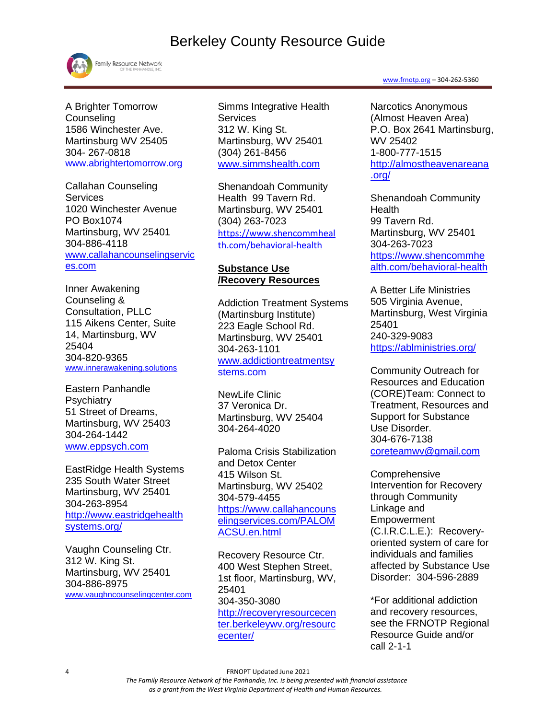

Family Resource Network

A Brighter Tomorrow **Counseling** 1586 Winchester Ave. Martinsburg WV 25405 304- 267-0818 [www.abrightertomorrow.org](http://www.abrightertomorrow.org/)

Callahan Counseling **Services** 1020 Winchester Avenue PO Box1074 Martinsburg, WV 25401 304-886-4118 [www.callahancounselingservic](http://www.callahancounselingservices.com/) [es.com](http://www.callahancounselingservices.com/)

Inner Awakening Counseling & Consultation, PLLC 115 Aikens Center, Suite 14, Martinsburg, WV 25404 304-820-9365 [www.innerawakening.solutions](http://www.innerawakening.solutions/)

Eastern Panhandle **Psychiatry** 51 Street of Dreams, Martinsburg, WV 25403 304-264-1442 [www.eppsych.com](http://www.eppsych.com/)

EastRidge Health Systems 235 South Water Street Martinsburg, WV 25401 304-263-8954 [http://www.eastridgehealth](http://www.eastridgehealthsystems.org/) [systems.org/](http://www.eastridgehealthsystems.org/)

Vaughn Counseling Ctr. 312 W. King St. Martinsburg, WV 25401 304-886-8975 [www.vaughncounselingcenter.com](http://www.vaughncounselingcenter.com/) Simms Integrative Health Services 312 W. King St. Martinsburg, WV 25401 (304) 261-8456 [www.simmshealth.com](http://www.simmshealth.com/)

Shenandoah Community Health 99 Tavern Rd. Martinsburg, WV 25401 (304) 263-7023 [https://www.shencommheal](https://linkprotect.cudasvc.com/url?a=https%3a%2f%2fwww.shencommhealth.com%2fbehavioral-health&c=E,1,dqMF2IMH40SqrPI6EaSgnhHYD1NmYxeYPHyL-xuR1D3U8FYKk31egqlfIRHp3CJasq5Y-I9O8QO-dprV81PrK3SQszfCP4sgmoyF--G8ULz6IVBsNDoq4sG-&typo=1) [th.com/behavioral-health](https://linkprotect.cudasvc.com/url?a=https%3a%2f%2fwww.shencommhealth.com%2fbehavioral-health&c=E,1,dqMF2IMH40SqrPI6EaSgnhHYD1NmYxeYPHyL-xuR1D3U8FYKk31egqlfIRHp3CJasq5Y-I9O8QO-dprV81PrK3SQszfCP4sgmoyF--G8ULz6IVBsNDoq4sG-&typo=1)

#### **Substance Use /Recovery Resources**

Addiction Treatment Systems (Martinsburg Institute) 223 Eagle School Rd. Martinsburg, WV 25401 304-263-1101 [www.addictiontreatmentsy](http://www.addictiontreatmentsystems.com/) [stems.com](http://www.addictiontreatmentsystems.com/)

NewLife Clinic 37 Veronica Dr. Martinsburg, WV 25404 [304-264-4020](tel:3042644020)

Paloma Crisis Stabilization and Detox Center 415 Wilson St. Martinsburg, WV 25402 304-579-4455 [https://www.callahancouns](https://www.callahancounselingservices.com/PALOMACSU.en.html) [elingservices.com/PALOM](https://www.callahancounselingservices.com/PALOMACSU.en.html) [ACSU.en.html](https://www.callahancounselingservices.com/PALOMACSU.en.html)

Recovery Resource Ctr. 400 West Stephen Street, 1st floor, Martinsburg, WV, 25401 304-350-3080 [http://recoveryresourcecen](http://recoveryresourcecenter.berkeleywv.org/resourcecenter/) [ter.berkeleywv.org/resourc](http://recoveryresourcecenter.berkeleywv.org/resourcecenter/) [ecenter/](http://recoveryresourcecenter.berkeleywv.org/resourcecenter/)

#### [www.frnotp.org](http://www.frnotp.org/) – 304-262-5360

Narcotics Anonymous (Almost Heaven Area) P.O. Box 2641 Martinsburg, WV 25402 1-800-777-1515 [http://almostheavenareana](http://almostheavenareana.org/) [.org/](http://almostheavenareana.org/)

Shenandoah Community **Health** 99 Tavern Rd. Martinsburg, WV 25401 304-263-7023 [https://www.shencommhe](https://linkprotect.cudasvc.com/url?a=https%3a%2f%2fwww.shencommhealth.com%2fbehavioral-health&c=E,1,QXGnKaYJ3rm4Ov1Gk4wSyXoLSX-naMGogscYndyqKOk9QlalcvMgPthz25bJOv1zE-n8ifPphlIUT_NYmBhlk3HLRmYoL69mAkuND3qf8DTu4fqzoIQq&typo=1) [alth.com/behavioral-health](https://linkprotect.cudasvc.com/url?a=https%3a%2f%2fwww.shencommhealth.com%2fbehavioral-health&c=E,1,QXGnKaYJ3rm4Ov1Gk4wSyXoLSX-naMGogscYndyqKOk9QlalcvMgPthz25bJOv1zE-n8ifPphlIUT_NYmBhlk3HLRmYoL69mAkuND3qf8DTu4fqzoIQq&typo=1)

A Better Life Ministries 505 Virginia Avenue, Martinsburg, West Virginia 25401 240-329-9083 <https://ablministries.org/>

Community Outreach for Resources and Education (CORE)Team: Connect to Treatment, Resources and Support for Substance Use Disorder. 304-676-7138 [coreteamwv@gmail.com](mailto:coreteamwv@gmail.com)

**Comprehensive** Intervention for Recovery through Community Linkage and Empowerment (C.I.R.C.L.E.): Recoveryoriented system of care for individuals and families affected by Substance Use Disorder: 304-596-2889

\*For additional addiction and recovery resources, see the FRNOTP Regional Resource Guide and/or call 2-1-1

4 FRNOPT Updated June 2021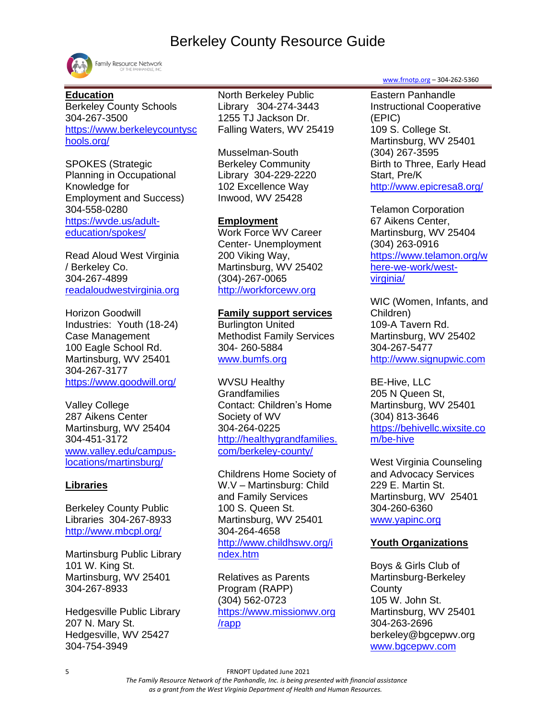

Family Resource Network

#### **Education**

Berkeley County Schools 304-267-3500 [https://www.berkeleycountysc](https://www.berkeleycountyschools.org/) [hools.org/](https://www.berkeleycountyschools.org/)

SPOKES (Strategic Planning in Occupational Knowledge for Employment and Success) 304-558-0280 [https://wvde.us/adult](https://wvde.us/adult-education/spokes/)[education/spokes/](https://wvde.us/adult-education/spokes/)

Read Aloud West Virginia / Berkeley Co. 304-267-4899 [readaloudwestvirginia.org](https://readaloudwestvirginia.org/)

Horizon Goodwill Industries: Youth (18-24) Case Management 100 Eagle School Rd. Martinsburg, WV 25401 304-267-3177 <https://www.goodwill.org/>

Valley College 287 Aikens Center Martinsburg, WV 25404 304-451-3172 [www.valley.edu/campus](http://www.valley.edu/campus-locations/martinsburg/)[locations/martinsburg/](http://www.valley.edu/campus-locations/martinsburg/)

### **Libraries**

Berkeley County Public Libraries 304-267-8933 <http://www.mbcpl.org/>

Martinsburg Public Library 101 W. King St. Martinsburg, WV 25401 304-267-8933

Hedgesville Public Library 207 N. Mary St. Hedgesville, WV 25427 304-754-3949

North Berkeley Public Library 304-274-3443 1255 TJ Jackson Dr. Falling Waters, WV 25419

Musselman-South Berkeley Community Library 304-229-2220 102 Excellence Way Inwood, WV 25428

#### **Employment**

Work Force WV Career Center- Unemployment 200 Viking Way, Martinsburg, WV 25402 (304)-267-0065 [http://workforcewv.org](http://workforcewv.org/)

#### **Family support services**

Burlington United Methodist Family Services 304- 260-5884 [www.bumfs.org](http://www.bumfs.org/)

WVSU Healthy **Grandfamilies** Contact: Children's Home Society of WV 304-264-0225 [http://healthygrandfamilies.](http://healthygrandfamilies.com/berkeley-county/) [com/berkeley-county/](http://healthygrandfamilies.com/berkeley-county/)

Childrens Home Society of W.V – Martinsburg: Child and Family Services 100 S. Queen St. Martinsburg, WV 25401 304-264-4658 [http://www.childhswv.org/i](http://www.childhswv.org/index.htm) [ndex.htm](http://www.childhswv.org/index.htm)

Relatives as Parents Program (RAPP) (304) 562-0723 [https://www.missionwv.org](https://www.missionwv.org/rapp) [/rapp](https://www.missionwv.org/rapp)

[www.frnotp.org](http://www.frnotp.org/) – 304-262-5360

Eastern Panhandle Instructional Cooperative (EPIC) 109 S. College St. Martinsburg, WV 25401 (304) 267-3595 Birth to Three, Early Head Start, Pre/K <http://www.epicresa8.org/>

Telamon Corporation 67 Aikens Center, Martinsburg, WV 25404 (304) 263-0916 [https://www.telamon.org/w](https://www.telamon.org/where-we-work/west-virginia/) [here-we-work/west](https://www.telamon.org/where-we-work/west-virginia/)[virginia/](https://www.telamon.org/where-we-work/west-virginia/)

WIC (Women, Infants, and Children) 109-A Tavern Rd. Martinsburg, WV 25402 304-267-5477 [http://www.signupwic.com](http://www.signupwic.com/?&utm_source=google&utm_term=wic&utm_campaign=WIC+-+Brand&utm_medium=cpc&utm_content=stdMRZOav_dc|pcrid|319844107420|pkw|wic|pmt|e)

BE-Hive, LLC 205 N Queen St, Martinsburg, WV 25401 (304) 813-3646 [https://behivellc.wixsite.co](https://behivellc.wixsite.com/be-hive?fbclid=IwAR0rNNBxkEdji7TlCBiEXgOUHs9NzULGkq_RnZVGy1UxGt2lTL9otdMdOSY) [m/be-hive](https://behivellc.wixsite.com/be-hive?fbclid=IwAR0rNNBxkEdji7TlCBiEXgOUHs9NzULGkq_RnZVGy1UxGt2lTL9otdMdOSY)

West Virginia Counseling and Advocacy Services 229 E. Martin St. Martinsburg, WV 25401 304-260-6360 [www.yapinc.org](http://www.yapinc.org/)

#### **Youth Organizations**

Boys & Girls Club of Martinsburg-Berkeley **County** 105 W. John St. Martinsburg, WV 25401 304-263-2696 berkeley@bgcepwv.org [www.bgcepwv.com](file:///C:/Users/kolson/AppData/Local/Microsoft/Windows/Temporary%20Internet%20Files/Content.Outlook/RYZ5X24Z/www.bgcepwv.com)

5 FRNOPT Updated June 2021

 *The Family Resource Network of the Panhandle, Inc. is being presented with financial assistance as a grant from the West Virginia Department of Health and Human Resources.*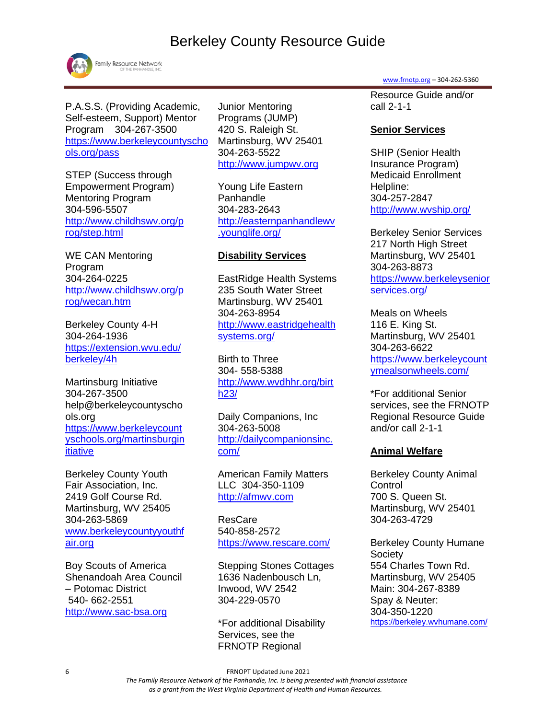

Family Resource Network

P.A.S.S. (Providing Academic, Self-esteem, Support) Mentor Program 304-267-3500 [https://www.berkeleycountyscho](https://www.berkeleycountyschools.org/pass) [ols.org/pass](https://www.berkeleycountyschools.org/pass)

STEP (Success through Empowerment Program) Mentoring Program 304-596-5507 [http://www.childhswv.org/p](http://www.childhswv.org/prog/step.html) [rog/step.html](http://www.childhswv.org/prog/step.html)

WE CAN Mentoring Program 304-264-0225 [http://www.childhswv.org/p](http://www.childhswv.org/prog/wecan.htm) [rog/wecan.htm](http://www.childhswv.org/prog/wecan.htm)

Berkeley County 4-H 304-264-1936 [https://extension.wvu.edu/](https://extension.wvu.edu/berkeley/4h) [berkeley/4h](https://extension.wvu.edu/berkeley/4h)

Martinsburg Initiative 304-267-3500 help@berkeleycountyscho ols.org [https://www.berkeleycount](https://www.berkeleycountyschools.org/martinsburginitiative) [yschools.org/martinsburgin](https://www.berkeleycountyschools.org/martinsburginitiative) [itiative](https://www.berkeleycountyschools.org/martinsburginitiative)

Berkeley County Youth Fair Association, Inc. 2419 Golf Course Rd. Martinsburg, WV 25405 304-263-5869 [www.berkeleycountyyouthf](http://www.berkeleycountyyouthfair.org/) [air.org](http://www.berkeleycountyyouthfair.org/)

Boy Scouts of America Shenandoah Area Council – Potomac District 540- 662-2551 [http://www.sac-bsa.org](http://www.sac-bsa.org/)

Junior Mentoring Programs (JUMP) 420 S. Raleigh St. Martinsburg, WV 25401 304-263-5522 [http://www.jumpwv.org](http://www.jumpwv.org/)

Young Life Eastern Panhandle 304-283-2643 [http://easternpanhandlewv](http://easternpanhandlewv.younglife.org/) [.younglife.org/](http://easternpanhandlewv.younglife.org/)

#### **Disability Services**

EastRidge Health Systems 235 South Water Street Martinsburg, WV 25401 304-263-8954 [http://www.eastridgehealth](http://www.eastridgehealthsystems.org/) [systems.org/](http://www.eastridgehealthsystems.org/)

Birth to Three 304- 558-5388 [http://www.wvdhhr.org/birt](http://www.wvdhhr.org/birth23/) [h23/](http://www.wvdhhr.org/birth23/)

Daily Companions, Inc 304-263-5008 [http://dailycompanionsinc.](http://dailycompanionsinc.com/) [com/](http://dailycompanionsinc.com/)

American Family Matters LLC 304-350-1109 [http://afmwv.com](http://afmwv.com/)

ResCare 540-858-2572 <https://www.rescare.com/>

Stepping Stones Cottages 1636 Nadenbousch Ln, Inwood, WV 2542 304-229-0570

\*For additional Disability Services, see the FRNOTP Regional

[www.frnotp.org](http://www.frnotp.org/) – 304-262-5360

Resource Guide and/or call 2-1-1

### **Senior Services**

SHIP (Senior Health Insurance Program) Medicaid Enrollment Helpline: 304-257-2847 <http://www.wvship.org/>

Berkeley Senior Services 217 North High Street Martinsburg, WV 25401 304-263-8873 [https://www.berkeleysenior](https://www.berkeleyseniorservices.org/) [services.org/](https://www.berkeleyseniorservices.org/)

Meals on Wheels 116 E. King St. Martinsburg, WV 25401 304-263-6622 [https://www.berkeleycount](https://www.berkeleycountymealsonwheels.com/) [ymealsonwheels.com/](https://www.berkeleycountymealsonwheels.com/)

\*For additional Senior services, see the FRNOTP Regional Resource Guide and/or call 2-1-1

# **Animal Welfare**

Berkeley County Animal **Control** 700 S. Queen St. Martinsburg, WV 25401 304-263-4729

Berkeley County Humane **Society** 554 Charles Town Rd. Martinsburg, WV 25405 Main: 304-267-8389 Spay & Neuter: 304-350-1220 <https://berkeley.wvhumane.com/>

6 FRNOPT Updated June 2021

 *The Family Resource Network of the Panhandle, Inc. is being presented with financial assistance as a grant from the West Virginia Department of Health and Human Resources.*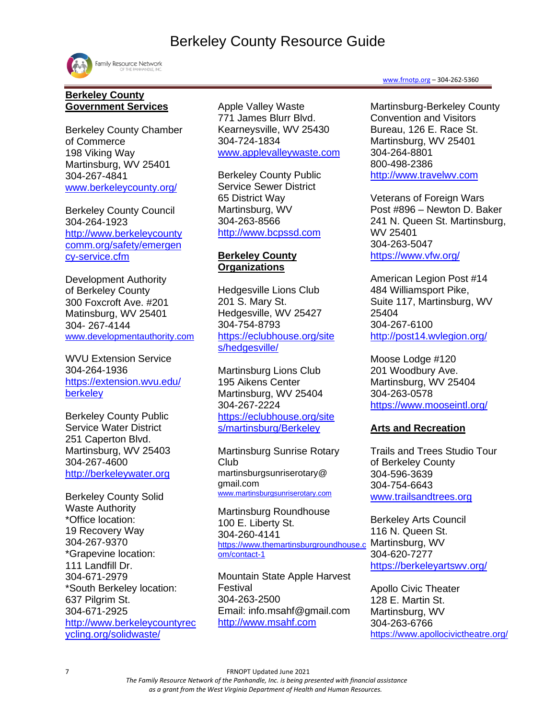

#### **Berkeley County Government Services**

Berkeley County Chamber of Commerce 198 Viking Way Martinsburg, WV 25401 304-267-4841 [www.berkeleycounty.org/](http://www.berkeleycounty.org/)

Berkeley County Council 304-264-1923 [http://www.berkeleycounty](http://www.berkeleycountycomm.org/safety/emergency-service.cfm) [comm.org/safety/emergen](http://www.berkeleycountycomm.org/safety/emergency-service.cfm) [cy-service.cfm](http://www.berkeleycountycomm.org/safety/emergency-service.cfm)

Development Authority of Berkeley County 300 Foxcroft Ave. #201 Matinsburg, WV 25401 304- 267-4144 [www.developmentauthority.com](http://www.developmentauthority.com/)

WVU Extension Service 304-264-1936 [https://extension.wvu.edu/](https://extension.wvu.edu/berkeley) **[berkeley](https://extension.wvu.edu/berkeley)** 

Berkeley County Public Service Water District 251 Caperton Blvd. Martinsburg, WV 25403 304-267-4600 [http://berkeleywater.org](http://berkeleywater.org/)

Berkeley County Solid Waste Authority \*Office location: 19 Recovery Way 304-267-9370 \*Grapevine location: 111 Landfill Dr. 304-671-2979 \*South Berkeley location: 637 Pilgrim St. 304-671-2925 [http://www.berkeleycountyrec](http://www.berkeleycountyrecycling.org/solidwaste/) [ycling.org/solidwaste/](http://www.berkeleycountyrecycling.org/solidwaste/)

Apple Valley Waste 771 James Blurr Blvd. Kearneysville, WV 25430 304-724-1834 [www.applevalleywaste.com](http://www.applevalleywaste.com/)

Berkeley County Public Service Sewer District 65 District Way Martinsburg, WV 304-263-8566 [http://www.bcpssd.com](http://www.bcpssd.com/)

### **Berkeley County Organizations**

Hedgesville Lions Club 201 S. Mary St. Hedgesville, WV 25427 304-754-8793 [https://eclubhouse.org/site](https://e-clubhouse.org/sites/hedgesville/) [s/hedgesville/](https://e-clubhouse.org/sites/hedgesville/)

Martinsburg Lions Club 195 Aikens Center Martinsburg, WV 25404 304-267-2224 [https://eclubhouse.org/site](https://eclubhouse.org/sites/martinsburg/) [s/martinsburg/Berkeley](https://eclubhouse.org/sites/martinsburg/)

Martinsburg Sunrise Rotary Club martinsburgsunriserotary@ gmail.com [www.martinsburgsunriserotary.com](http://www.martinsburgsunriserotary.com/)

[Martinsburg Roundhouse](http://www.mainstreetmartinsburg.com/discover/non-profits/name/martinsburg-roundhouse-center/) 100 E. Liberty St. 304-260-4141 [https://www.themartinsburgroundhouse.c](https://www.themartinsburgroundhouse.com/contact-1) Martinsburg, WV [om/contact-1](https://www.themartinsburgroundhouse.com/contact-1)

Mountain State Apple Harvest Festival 304-263-2500 Email: info.msahf@gmail.com [http://www.msahf.com](http://www.msahf.com/)

#### [www.frnotp.org](http://www.frnotp.org/) – 304-262-5360

Martinsburg-Berkeley County Convention and Visitors Bureau, 126 E. Race St. Martinsburg, WV 25401 304-264-8801 800-498-2386 [http://www.travelwv.com](http://www.travelwv.com/)

Veterans of Foreign Wars Post #896 – Newton D. Baker 241 N. Queen St. Martinsburg, WV 25401 304-263-5047 <https://www.vfw.org/>

American Legion Post #14 484 Williamsport Pike, Suite 117, Martinsburg, WV 25404 304-267-6100 <http://post14.wvlegion.org/>

Moose Lodge #120 201 Woodbury Ave. Martinsburg, WV 25404 304-263-0578 <https://www.mooseintl.org/>

#### **Arts and Recreation**

Trails and Trees Studio Tour of Berkeley County 304-596-3639 304-754-6643 [www.trailsandtrees.org](http://www.trailsandtrees.org/)

Berkeley Arts Council 116 N. Queen St. 304-620-7277 <https://berkeleyartswv.org/>

Apollo Civic Theater 128 E. Martin St. Martinsburg, WV 304-263-6766 <https://www.apollocivictheatre.org/>